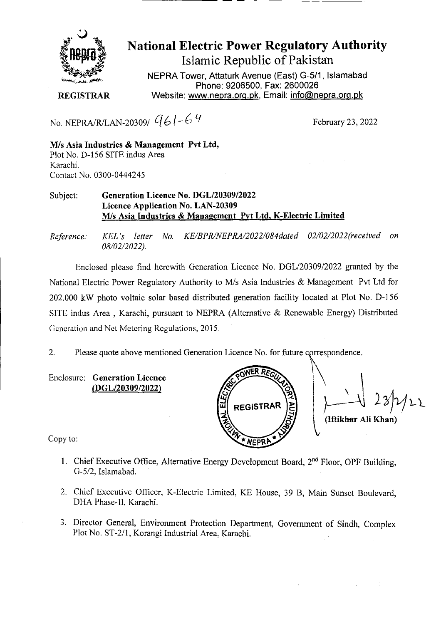

# **National Electric Power Regulatory Authority**

**Islamic Republic of Pakistan** 

**NEPRA Tower, Attaturk Avenue (East) G-511, Islamabad Phone: 9206500, Fax: 2600026 REGISTRAR** Website: www.nepra.org.pk, Email: info@nepra.org.pk

No. NEPRA/R/LAN-20309/  $961$  – 6  $9$ 

February 23, 2022

M/s Asia **Industries & Management Pvt Ltd,**  Plot No. D-156 SITE indus Area Karachi. Contact No. 0300-0444245

### Subject: Generation Licence No. DGL/20309/2022 Licence Application No. LAN-20309 Mis **Asia Industries** & **Management Pvt Ltd. K-Electric Limited**

*Reference: KEL 's letter No. KE/BPR/NEPRA/2022/084dated 02/02/2022('received on 08/02/2 022).* 

Enclosed please find herewith Generation Licence No. DGL/20309/2022 granted by the National Electric Power Regulatory Authority to M/s Asia Industries & Management Pvt Ltd for 202.000 kW photo voltaic solar based distributed generation facility located at Plot No. D-156 SITE indus Area, Karachi, pursuant to NEPRA (Alternative & Renewable Energy) Distributed Generation and Net Metering Regulations, 2015.

2. Please quote above mentioned Generation Licence No. for future cprrespondence.

Enclosure: **Generation Licence**  *(DGL120309/2022)* 



**(Iftikhar** All **I(han)** 

Copy to:

- 1. Chief Executive Office, Alternative Energy Development Board, 2<sup>nd</sup> Floor, OPF Building, G-5/2, Islamabad.
- 2. Chief Executive Officer, K-Electric Limited. KE House, 39 B. Main Sunset Boulevard, DHA Phase-lI, Karachi.
- 3. Director General, Environment Protection Department, Government of Sindh, Complex Plot No. ST-2/l, Korangi Industrial Area, Karachi.